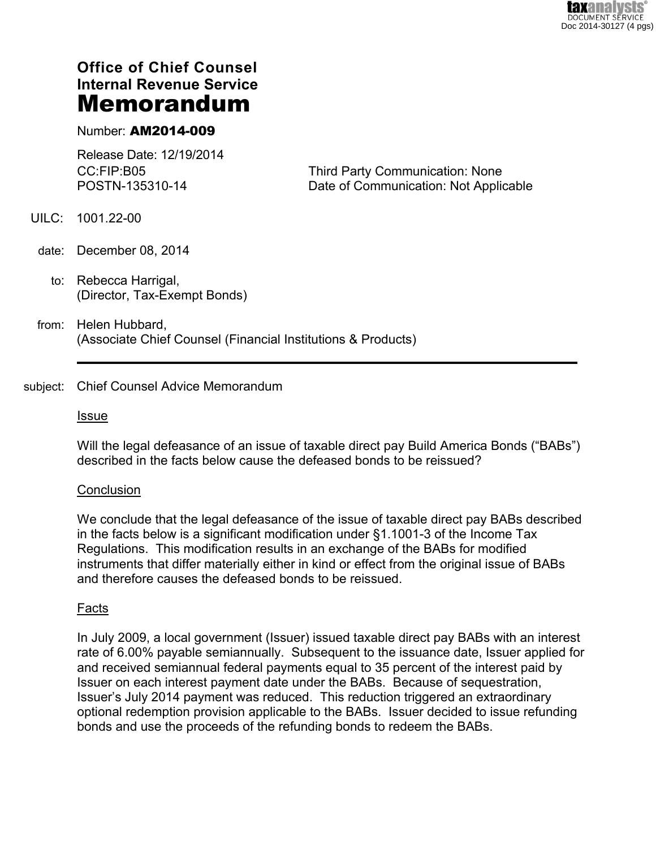# **Office of Chief Counsel Internal Revenue Service Memorandum**

## Number: **AM2014-009**

Release Date: 12/19/2014 CC:FIP:B05 POSTN-135310-14

Third Party Communication: None Date of Communication: Not Applicable

- UILC: 1001.22-00
- date: December 08, 2014
	- to: Rebecca Harrigal, (Director, Tax-Exempt Bonds)
- from: Helen Hubbard, (Associate Chief Counsel (Financial Institutions & Products)

### subject: Chief Counsel Advice Memorandum

#### Issue

Will the legal defeasance of an issue of taxable direct pay Build America Bonds ("BABs") described in the facts below cause the defeased bonds to be reissued?

#### **Conclusion**

We conclude that the legal defeasance of the issue of taxable direct pay BABs described in the facts below is a significant modification under §1.1001-3 of the Income Tax Regulations. This modification results in an exchange of the BABs for modified instruments that differ materially either in kind or effect from the original issue of BABs and therefore causes the defeased bonds to be reissued.

#### Facts

In July 2009, a local government (Issuer) issued taxable direct pay BABs with an interest rate of 6.00% payable semiannually. Subsequent to the issuance date, Issuer applied for and received semiannual federal payments equal to 35 percent of the interest paid by Issuer on each interest payment date under the BABs. Because of sequestration, Issuer's July 2014 payment was reduced. This reduction triggered an extraordinary optional redemption provision applicable to the BABs. Issuer decided to issue refunding bonds and use the proceeds of the refunding bonds to redeem the BABs.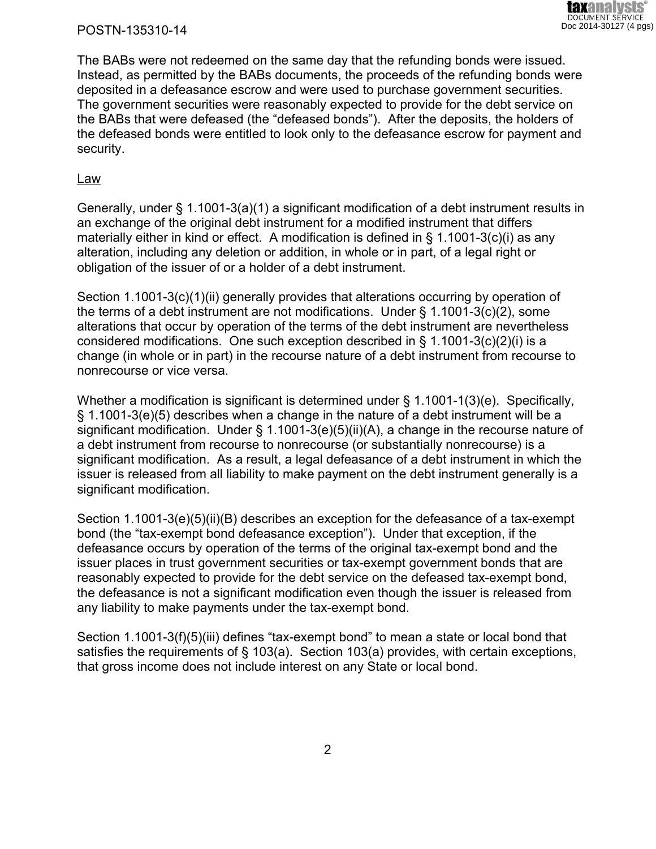#### POSTN-135310-14

The BABs were not redeemed on the same day that the refunding bonds were issued. Instead, as permitted by the BABs documents, the proceeds of the refunding bonds were deposited in a defeasance escrow and were used to purchase government securities. The government securities were reasonably expected to provide for the debt service on the BABs that were defeased (the "defeased bonds"). After the deposits, the holders of the defeased bonds were entitled to look only to the defeasance escrow for payment and security.

#### Law

Generally, under § 1.1001-3(a)(1) a significant modification of a debt instrument results in an exchange of the original debt instrument for a modified instrument that differs materially either in kind or effect. A modification is defined in § 1.1001-3(c)(i) as any alteration, including any deletion or addition, in whole or in part, of a legal right or obligation of the issuer of or a holder of a debt instrument.

Section 1.1001-3(c)(1)(ii) generally provides that alterations occurring by operation of the terms of a debt instrument are not modifications. Under § 1.1001-3(c)(2), some alterations that occur by operation of the terms of the debt instrument are nevertheless considered modifications. One such exception described in §  $1.1001-3(c)(2)(i)$  is a change (in whole or in part) in the recourse nature of a debt instrument from recourse to nonrecourse or vice versa.

Whether a modification is significant is determined under § 1.1001-1(3)(e). Specifically, § 1.1001-3(e)(5) describes when a change in the nature of a debt instrument will be a significant modification. Under § 1.1001-3(e)(5)(ii)(A), a change in the recourse nature of a debt instrument from recourse to nonrecourse (or substantially nonrecourse) is a significant modification. As a result, a legal defeasance of a debt instrument in which the issuer is released from all liability to make payment on the debt instrument generally is a significant modification.

Section 1.1001-3(e)(5)(ii)(B) describes an exception for the defeasance of a tax-exempt bond (the "tax-exempt bond defeasance exception"). Under that exception, if the defeasance occurs by operation of the terms of the original tax-exempt bond and the issuer places in trust government securities or tax-exempt government bonds that are reasonably expected to provide for the debt service on the defeased tax-exempt bond, the defeasance is not a significant modification even though the issuer is released from any liability to make payments under the tax-exempt bond.

Section 1.1001-3(f)(5)(iii) defines "tax-exempt bond" to mean a state or local bond that satisfies the requirements of § 103(a). Section 103(a) provides, with certain exceptions, that gross income does not include interest on any State or local bond.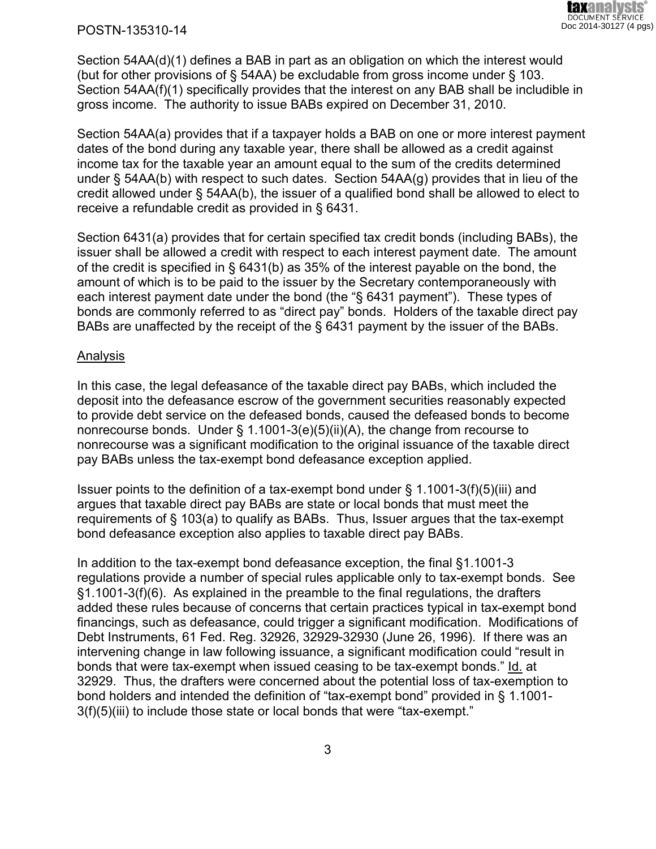#### POSTN-135310-14

Section 54AA(d)(1) defines a BAB in part as an obligation on which the interest would (but for other provisions of § 54AA) be excludable from gross income under § 103. Section 54AA(f)(1) specifically provides that the interest on any BAB shall be includible in gross income. The authority to issue BABs expired on December 31, 2010.

Section 54AA(a) provides that if a taxpayer holds a BAB on one or more interest payment dates of the bond during any taxable year, there shall be allowed as a credit against income tax for the taxable year an amount equal to the sum of the credits determined under § 54AA(b) with respect to such dates. Section 54AA(g) provides that in lieu of the credit allowed under § 54AA(b), the issuer of a qualified bond shall be allowed to elect to receive a refundable credit as provided in § 6431.

Section 6431(a) provides that for certain specified tax credit bonds (including BABs), the issuer shall be allowed a credit with respect to each interest payment date. The amount of the credit is specified in § 6431(b) as 35% of the interest payable on the bond, the amount of which is to be paid to the issuer by the Secretary contemporaneously with each interest payment date under the bond (the "§ 6431 payment"). These types of bonds are commonly referred to as "direct pay" bonds. Holders of the taxable direct pay BABs are unaffected by the receipt of the § 6431 payment by the issuer of the BABs.

#### Analysis

In this case, the legal defeasance of the taxable direct pay BABs, which included the deposit into the defeasance escrow of the government securities reasonably expected to provide debt service on the defeased bonds, caused the defeased bonds to become nonrecourse bonds. Under § 1.1001-3(e)(5)(ii)(A), the change from recourse to nonrecourse was a significant modification to the original issuance of the taxable direct pay BABs unless the tax-exempt bond defeasance exception applied.

Issuer points to the definition of a tax-exempt bond under § 1.1001-3(f)(5)(iii) and argues that taxable direct pay BABs are state or local bonds that must meet the requirements of § 103(a) to qualify as BABs. Thus, Issuer argues that the tax-exempt bond defeasance exception also applies to taxable direct pay BABs.

In addition to the tax-exempt bond defeasance exception, the final §1.1001-3 regulations provide a number of special rules applicable only to tax-exempt bonds. See §1.1001-3(f)(6). As explained in the preamble to the final regulations, the drafters added these rules because of concerns that certain practices typical in tax-exempt bond financings, such as defeasance, could trigger a significant modification. Modifications of Debt Instruments, 61 Fed. Reg. 32926, 32929-32930 (June 26, 1996). If there was an intervening change in law following issuance, a significant modification could "result in bonds that were tax-exempt when issued ceasing to be tax-exempt bonds." Id. at 32929. Thus, the drafters were concerned about the potential loss of tax-exemption to bond holders and intended the definition of "tax-exempt bond" provided in § 1.1001- 3(f)(5)(iii) to include those state or local bonds that were "tax-exempt."